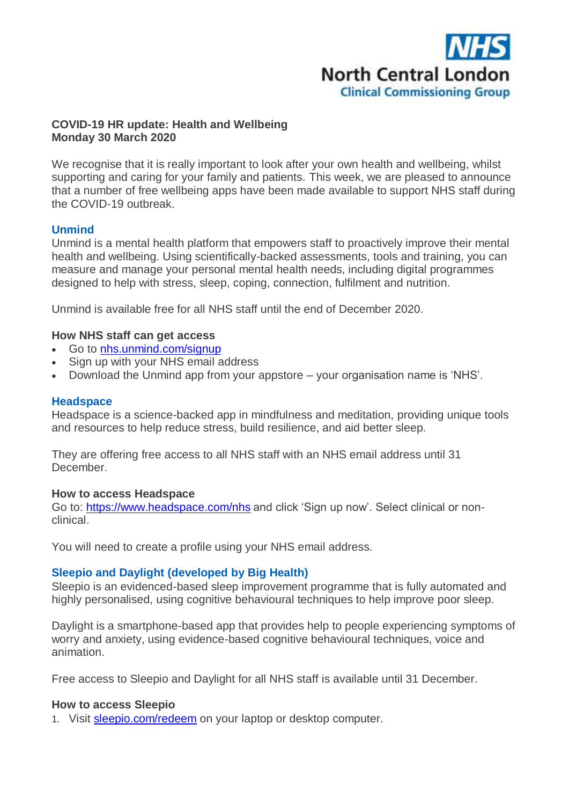

## **COVID-19 HR update: Health and Wellbeing Monday 30 March 2020**

We recognise that it is really important to look after your own health and wellbeing, whilst supporting and caring for your family and patients. This week, we are pleased to announce that a number of free wellbeing apps have been made available to support NHS staff during the COVID-19 outbreak.

# **Unmind**

Unmind is a mental health platform that empowers staff to proactively improve their mental health and wellbeing. Using scientifically-backed assessments, tools and training, you can measure and manage your personal mental health needs, including digital programmes designed to help with stress, sleep, coping, connection, fulfilment and nutrition.

Unmind is available free for all NHS staff until the end of December 2020.

#### **How NHS staff can get access**

- Go to [nhs.unmind.com/signup](http://camdenccg.newsweaver.com/briefing/59sxjlrctf91gfncbqs1l9/external?email=true&a=6&p=5017463&t=356442)
- Sign up with your NHS email address
- Download the Unmind app from your appstore your organisation name is 'NHS'.

#### **Headspace**

Headspace is a science-backed app in mindfulness and meditation, providing unique tools and resources to help reduce stress, build resilience, and aid better sleep.

They are offering free access to all NHS staff with an NHS email address until 31 **December** 

#### **How to access Headspace**

Go to: [https://www.headspace.com/nhs](http://camdenccg.newsweaver.com/briefing/lhe3oacy6vq1gfncbqs1l9/external?email=true&a=6&p=5017463&t=356442) and click 'Sign up now'. Select clinical or nonclinical.

You will need to create a profile using your NHS email address.

## **Sleepio and Daylight (developed by Big Health)**

Sleepio is an evidenced-based sleep improvement programme that is fully automated and highly personalised, using cognitive behavioural techniques to help improve poor sleep.

Daylight is a smartphone-based app that provides help to people experiencing symptoms of worry and anxiety, using evidence-based cognitive behavioural techniques, voice and animation.

Free access to Sleepio and Daylight for all NHS staff is available until 31 December.

#### **How to access Sleepio**

1. Visit [sleepio.com/redeem](http://camdenccg.newsweaver.com/briefing/1brqkvajvjr1gfncbqs1l9/external?email=true&a=6&p=5017463&t=356442) on your laptop or desktop computer.